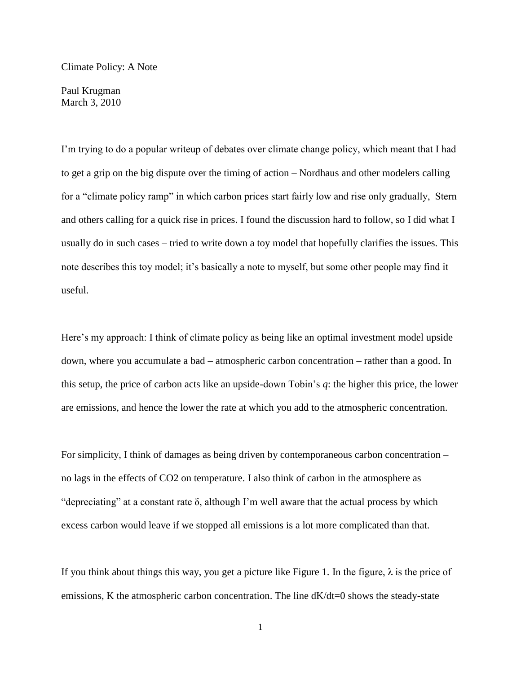Climate Policy: A Note

Paul Krugman March 3, 2010

I'm trying to do a popular writeup of debates over climate change policy, which meant that I had to get a grip on the big dispute over the timing of action – Nordhaus and other modelers calling for a "climate policy ramp" in which carbon prices start fairly low and rise only gradually, Stern and others calling for a quick rise in prices. I found the discussion hard to follow, so I did what I usually do in such cases – tried to write down a toy model that hopefully clarifies the issues. This note describes this toy model; it's basically a note to myself, but some other people may find it useful.

Here's my approach: I think of climate policy as being like an optimal investment model upside down, where you accumulate a bad – atmospheric carbon concentration – rather than a good. In this setup, the price of carbon acts like an upside-down Tobin's *q*: the higher this price, the lower are emissions, and hence the lower the rate at which you add to the atmospheric concentration.

For simplicity, I think of damages as being driven by contemporaneous carbon concentration – no lags in the effects of CO2 on temperature. I also think of carbon in the atmosphere as "depreciating" at a constant rate  $\delta$ , although I'm well aware that the actual process by which excess carbon would leave if we stopped all emissions is a lot more complicated than that.

If you think about things this way, you get a picture like Figure 1. In the figure,  $\lambda$  is the price of emissions, K the atmospheric carbon concentration. The line  $dK/dt=0$  shows the steady-state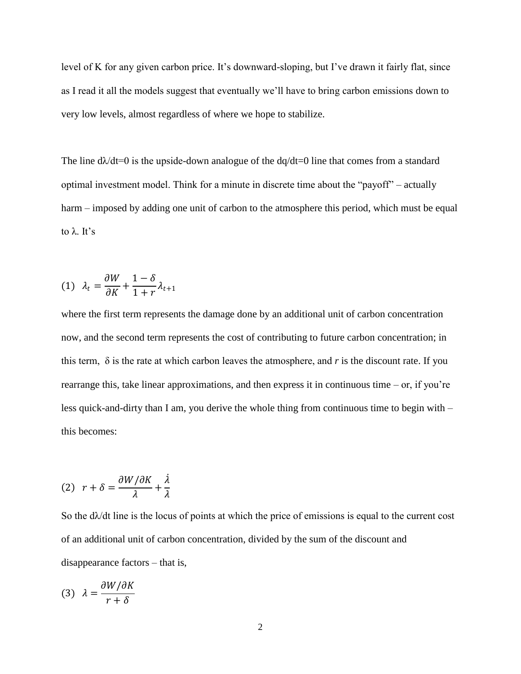level of K for any given carbon price. It's downward-sloping, but I've drawn it fairly flat, since as I read it all the models suggest that eventually we'll have to bring carbon emissions down to very low levels, almost regardless of where we hope to stabilize.

The line  $d\lambda/dt=0$  is the upside-down analogue of the  $d\alpha/dt=0$  line that comes from a standard optimal investment model. Think for a minute in discrete time about the "payoff" – actually harm – imposed by adding one unit of carbon to the atmosphere this period, which must be equal to  $\lambda$  It's

$$
(1) \ \ \lambda_t = \frac{\partial W}{\partial K} + \frac{1 - \delta}{1 + r} \lambda_{t+1}
$$

where the first term represents the damage done by an additional unit of carbon concentration now, and the second term represents the cost of contributing to future carbon concentration; in this term,  $\delta$  is the rate at which carbon leaves the atmosphere, and  $r$  is the discount rate. If you rearrange this, take linear approximations, and then express it in continuous time – or, if you're less quick-and-dirty than I am, you derive the whole thing from continuous time to begin with – this becomes:

$$
(2) \ \ r+\delta=\frac{\partial W/\partial K}{\lambda}+\frac{\dot{\lambda}}{\lambda}
$$

So the  $d\lambda/dt$  line is the locus of points at which the price of emissions is equal to the current cost of an additional unit of carbon concentration, divided by the sum of the discount and disappearance factors – that is,

$$
(3) \ \ \lambda = \frac{\partial W/\partial K}{r+\delta}
$$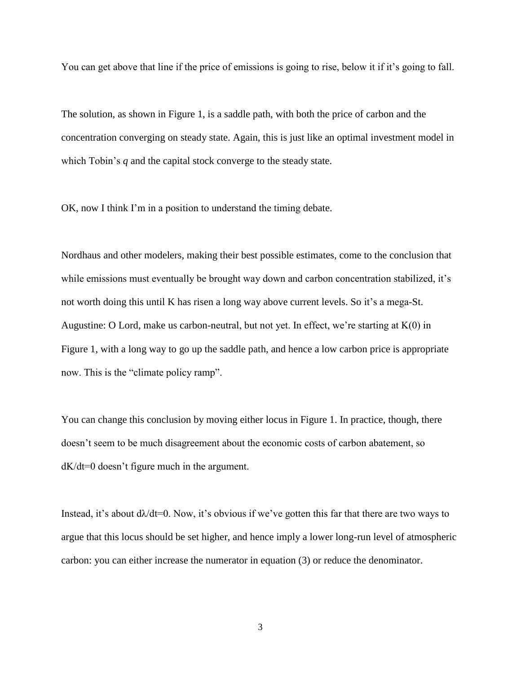You can get above that line if the price of emissions is going to rise, below it if it's going to fall.

The solution, as shown in Figure 1, is a saddle path, with both the price of carbon and the concentration converging on steady state. Again, this is just like an optimal investment model in which Tobin's *q* and the capital stock converge to the steady state.

OK, now I think I'm in a position to understand the timing debate.

Nordhaus and other modelers, making their best possible estimates, come to the conclusion that while emissions must eventually be brought way down and carbon concentration stabilized, it's not worth doing this until K has risen a long way above current levels. So it's a mega-St. Augustine: O Lord, make us carbon-neutral, but not yet. In effect, we're starting at  $K(0)$  in Figure 1, with a long way to go up the saddle path, and hence a low carbon price is appropriate now. This is the "climate policy ramp".

You can change this conclusion by moving either locus in Figure 1. In practice, though, there doesn't seem to be much disagreement about the economic costs of carbon abatement, so dK/dt=0 doesn't figure much in the argument.

Instead, it's about  $d\lambda/dt=0$ . Now, it's obvious if we've gotten this far that there are two ways to argue that this locus should be set higher, and hence imply a lower long-run level of atmospheric carbon: you can either increase the numerator in equation (3) or reduce the denominator.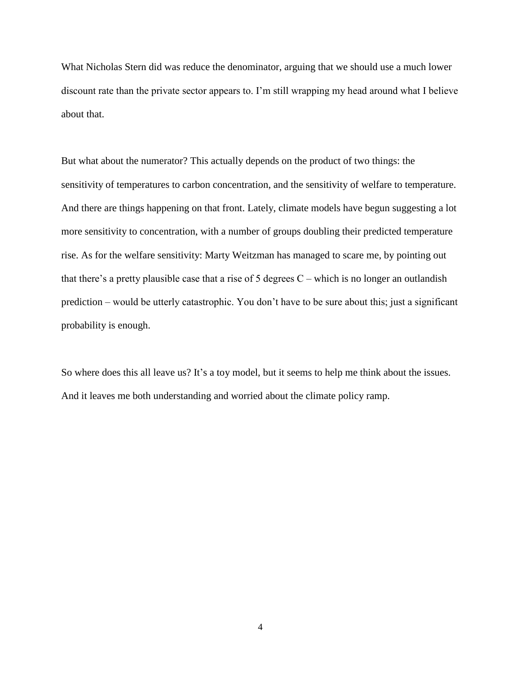What Nicholas Stern did was reduce the denominator, arguing that we should use a much lower discount rate than the private sector appears to. I'm still wrapping my head around what I believe about that.

But what about the numerator? This actually depends on the product of two things: the sensitivity of temperatures to carbon concentration, and the sensitivity of welfare to temperature. And there are things happening on that front. Lately, climate models have begun suggesting a lot more sensitivity to concentration, with a number of groups doubling their predicted temperature rise. As for the welfare sensitivity: Marty Weitzman has managed to scare me, by pointing out that there's a pretty plausible case that a rise of 5 degrees  $C$  – which is no longer an outlandish prediction – would be utterly catastrophic. You don't have to be sure about this; just a significant probability is enough.

So where does this all leave us? It's a toy model, but it seems to help me think about the issues. And it leaves me both understanding and worried about the climate policy ramp.